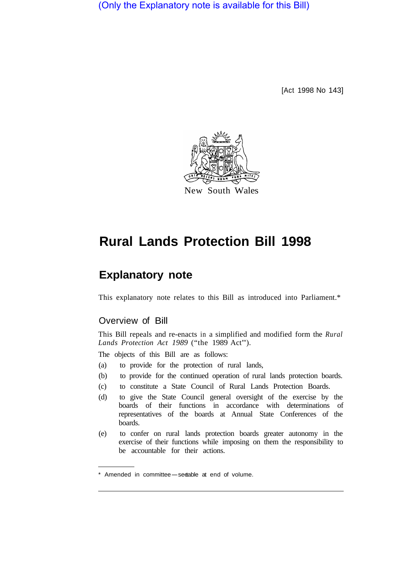(Only the Explanatory note is available for this Bill)

[Act 1998 No 143]



# **Rural Lands Protection Bill 1998**

## **Explanatory note**

This explanatory note relates to this Bill as introduced into Parliament.\*

## Overview of Bill

This Bill repeals and re-enacts in a simplified and modified form the *Rural Lands Protection Act 1989* ("the 1989 Act").

The objects of this Bill are as follows:

- (a) to provide for the protection of rural lands,
- (b) to provide for the continued operation of rural lands protection boards.
- (c) to constitute a State Council of Rural Lands Protection Boards.
- (d) to give the State Council general oversight of the exercise by the boards of their functions in accordance with determinations of representatives of the boards at Annual State Conferences of the boards.
- (e) to confer on rural lands protection boards greater autonomy in the exercise of their functions while imposing on them the responsibility to be accountable for their actions.

<sup>\*</sup> Amended in committee-see able at end of volume.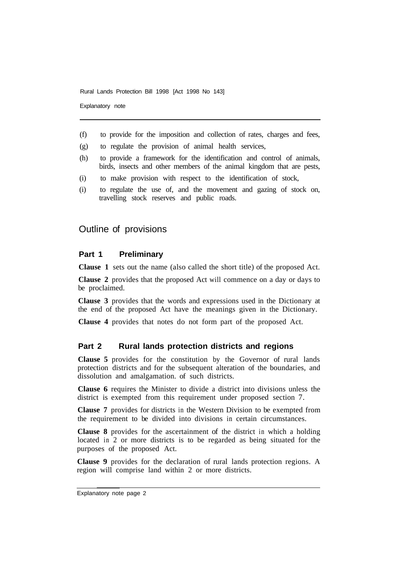Explanatory note

- (f) to provide for the imposition and collection of rates, charges and fees,
- (g) to regulate the provision of animal health services,
- (h) to provide a framework for the identification and control of animals, birds, insects and other members of the animal kingdom that are pests,
- (i) to make provision with respect to the identification of stock,
- (i) to regulate the use of, and the movement and gazing of stock on, travelling stock reserves and public roads.

## Outline of provisions

## **Part 1 Preliminary**

**Clause 1** sets out the name (also called the short title) of the proposed Act.

**Clause 2** provides that the proposed Act will commence on a day or days to be proclaimed.

**Clause 3** provides that the words and expressions used in the Dictionary at the end of the proposed Act have the meanings given in the Dictionary.

**Clause 4** provides that notes do not form part of the proposed Act.

## **Part 2 Rural lands protection districts and regions**

**Clause 5** provides for the constitution by the Governor of rural lands protection districts and for the subsequent alteration of the boundaries, and dissolution and amalgamation. of such districts.

**Clause 6** requires the Minister to divide a district into divisions unless the district is exempted from this requirement under proposed section 7.

**Clause 7** provides for districts in the Western Division to be exempted from the requirement to be divided into divisions in certain circumstances.

**Clause 8** provides for the ascertainment of the district in which a holding located in 2 or more districts is to be regarded as being situated for the purposes of the proposed Act.

**Clause 9** provides for the declaration of rural lands protection regions. A region will comprise land within 2 or more districts.

Explanatory note page 2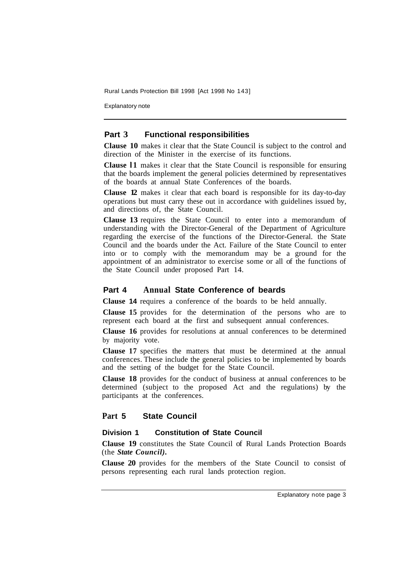Explanatory note

## **Part 3 Functional responsibilities**

**Clause 10** makes it clear that the State Council is subject to the control and direction of the Minister in the exercise of its functions.

**Clause l1** makes it clear that the State Council is responsible for ensuring that the boards implement the general policies determined by representatives of the boards at annual State Conferences of the boards.

**Clause 12** makes it clear that each board is responsible for its day-to-day operations but must carry these out in accordance with guidelines issued by, and directions of, the State Council.

**Clause 13** requires the State Council to enter into a memorandum of understanding with the Director-General of the Department of Agriculture regarding the exercise of the functions of the Director-General. the State Council and the boards under the Act. Failure of the State Council to enter into or to comply with the memorandum may be a ground for the appointment of an administrator to exercise some or all of the functions of the State Council under proposed Part 14.

## **Part 4 Annual State Conference of beards**

**Clause 14** requires a conference of the boards to be held annually.

**Clause 15** provides for the determination of the persons who are to represent each board at the first and subsequent annual conferences.

**Clause 16** provides for resolutions at annual conferences to be determined by majority vote.

**Clause 17** specifies the matters that must be determined at the annual conferences. These include the general policies to be implemented by boards and the setting of the budget for the State Council.

**Clause 18** provides for the conduct of business at annual conferences to be determined (subject to the proposed Act and the regulations) by the participants at the conferences.

## **Part 5 State Council**

## **Division 1 Constitution of State Council**

**Clause 19** constitutes the State Council of Rural Lands Protection Boards (the *State Council).* 

**Clause 20** provides for the members of the State Council to consist of persons representing each rural lands protection region.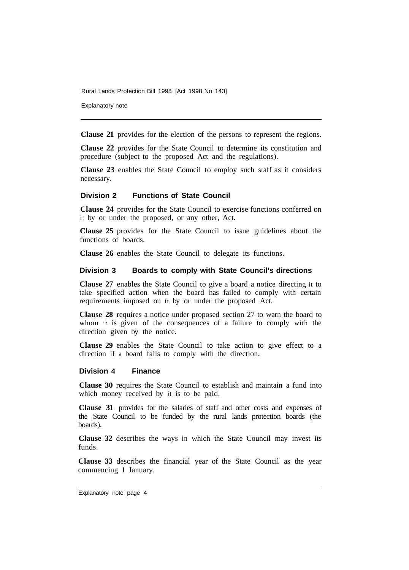Explanatory note

**Clause 21** provides for the election of the persons to represent the regions.

**Clause 22** provides for the State Council to determine its constitution and procedure (subject to the proposed Act and the regulations).

**Clause 23** enables the State Council to employ such staff as it considers necessary.

## **Division 2 Functions of State Council**

**Clause 24** provides for the State Council to exercise functions conferred on it by or under the proposed, or any other, Act.

**Clause 25** provides for the State Council to issue guidelines about the functions of boards.

**Clause 26** enables the State Council to delegate its functions.

## **Division 3 Boards to comply with State Council's directions**

**Clause 27** enables the State Council to give a board a notice directing it to take specified action when the board has failed to comply with certain requirements imposed on it by or under the proposed Act.

**Clause 28** requires a notice under proposed section 27 to warn the board to whom it is given of the consequences of a failure to comply with the direction given by the notice.

**Clause 29** enables the State Council to take action to give effect to a direction if a board fails to comply with the direction.

#### **Division 4 Finance**

**Clause 30** requires the State Council to establish and maintain a fund into which money received by it is to be paid.

**Clause 31** provides for the salaries of staff and other costs and expenses of the State Council to be funded by the rural lands protection boards (the boards).

**Clause 32** describes the ways in which the State Council may invest its funds.

**Clause 33** describes the financial year of the State Council as the year commencing 1 January.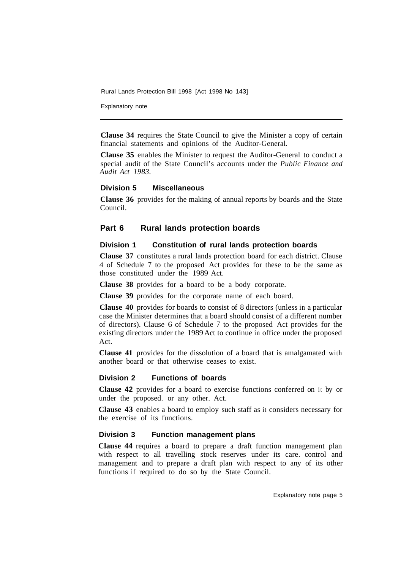Explanatory note

**Clause 34** requires the State Council to give the Minister a copy of certain financial statements and opinions of the Auditor-General.

**Clause 35** enables the Minister to request the Auditor-General to conduct a special audit of the State Council's accounts under the *Public Finance and Audit Act 1983.* 

#### **Division 5 Miscellaneous**

**Clause 36** provides for the making of annual reports by boards and the State Council.

## **Part 6 Rural lands protection boards**

## **Division 1 Constitution of rural lands protection boards**

**Clause 37** constitutes a rural lands protection board for each district. Clause 4 of Schedule 7 to the proposed Act provides for these to be the same as those constituted under the 1989 Act.

**Clause 38** provides for a board to be a body corporate.

**Clause 39** provides for the corporate name of each board.

**Clause 40** provides for boards to consist of 8 directors (unless in a particular case the Minister determines that a board should consist of a different number of directors). Clause 6 of Schedule 7 to the proposed Act provides for the existing directors under the 1989 Act to continue in office under the proposed Act.

**Clause 41** provides for the dissolution of a board that is amalgamated with another board or that otherwise ceases to exist.

#### **Division 2 Functions of boards**

**Clause 42** provides for a board to exercise functions conferred on it by or under the proposed. or any other. Act.

**Clause 43** enables a board to employ such staff as it considers necessary for the exercise of its functions.

## **Division 3 Function management plans**

**Clause 44** requires a board to prepare a draft function management plan with respect to all travelling stock reserves under its care. control and management and to prepare a draft plan with respect to any of its other functions if required to do so by the State Council.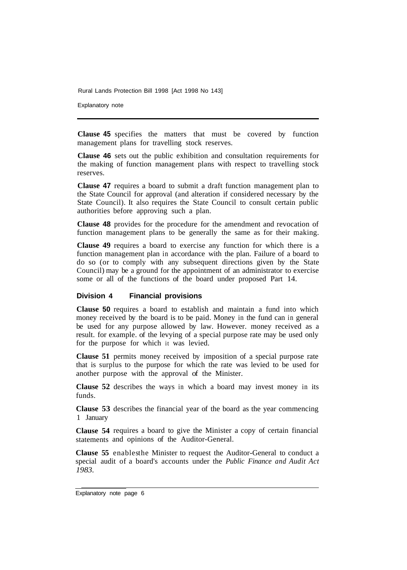Explanatory note

**Clause 45** specifies the matters that must be covered by function management plans for travelling stock reserves.

**Clause 46** sets out the public exhibition and consultation requirements for the making of function management plans with respect to travelling stock reserves.

**Clause 47** requires a board to submit a draft function management plan to the State Council for approval (and alteration if considered necessary by the State Council). It also requires the State Council to consult certain public authorities before approving such a plan.

**Clause 48** provides for the procedure for the amendment and revocation of function management plans to be generally the same as for their making.

**Clause 49** requires a board to exercise any function for which there is a function management plan in accordance with the plan. Failure of a board to do so (or to comply with any subsequent directions given by the State Council) may be a ground for the appointment of an administrator to exercise some or all of the functions of the board under proposed Part 14.

#### **Division 4 Financial provisions**

**Clause 50** requires a board to establish and maintain a fund into which money received by the board is to be paid. Money in the fund can in general be used for any purpose allowed by law. However. money received as a result. for example. of the levying of a special purpose rate may be used only for the purpose for which it was levied.

**Clause 51** permits money received by imposition of a special purpose rate that is surplus to the purpose for which the rate was levied to be used for another purpose with the approval of the Minister.

**Clause 52**  describes the ways in which a board may invest money in its funds.

**Clause 53**  describes the financial year of the board as the year commencing 1 January

**Clause 54**  requires a board to give the Minister a copy of certain financial statements and opinions of the Auditor-General.

Clause 55 enables the Minister to request the Auditor-General to conduct a special audit of a board's accounts under the *Public Finance and Audit Act 1983.* 

Explanatory note page 6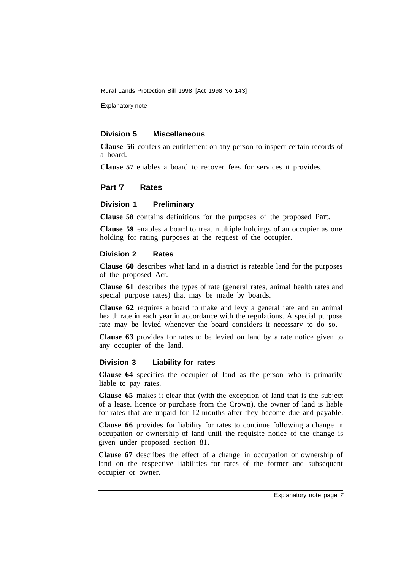Explanatory note

#### **Division 5 Miscellaneous**

**Clause 56** confers an entitlement on any person to inspect certain records of a board.

**Clause 57** enables a board to recover fees for services it provides.

## **Part '7 Rates**

## **Division 1 Preliminary**

**Clause 58** contains definitions for the purposes of the proposed Part.

**Clause 59** enables a board to treat multiple holdings of an occupier as one holding for rating purposes at the request of the occupier.

#### **Division 2 Rates**

**Clause 60** describes what land in a district is rateable land for the purposes of the proposed Act.

**Clause 61** describes the types of rate (general rates, animal health rates and special purpose rates) that may be made by boards.

**Clause 62** requires a board to make and levy a general rate and an animal health rate in each year in accordance with the regulations. A special purpose rate may be levied whenever the board considers it necessary to do so.

**Clause 63** provides for rates to be levied on land by a rate notice given to any occupier of the land.

#### **Division 3 Liability for rates**

**Clause 64** specifies the occupier of land as the person who is primarily liable to pay rates.

**Clause 65** makes it clear that (with the exception of land that is the subject of a lease. licence or purchase from the Crown). the owner of land is liable for rates that are unpaid for 12 months after they become due and payable.

**Clause 66** provides for liability for rates to continue following a change in occupation or ownership of land until the requisite notice of the change is given under proposed section 81.

**Clause 67** describes the effect of a change in occupation or ownership of land on the respective liabilities for rates of the former and subsequent occupier or owner.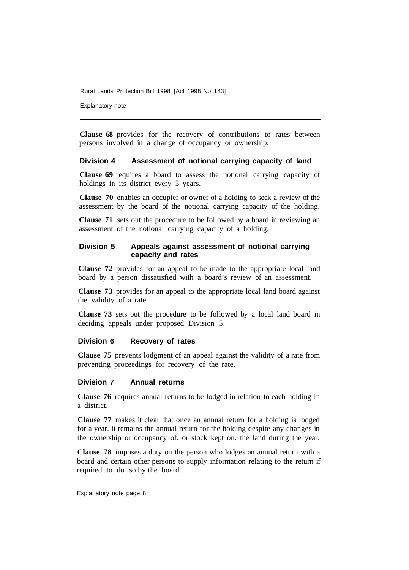Explanatory note

**Clause 68** provides for the recovery of contributions to rates between persons involved in a change of occupancy or ownership.

#### **Division 4 Assessment of notional carrying capacity of land**

**Clause 69** requires a board to assess the notional carrying capacity of holdings in its district every 5 years.

**Clause 70** enables an occupier or owner of a holding to seek a review of the assessment by the board of the notional carrying capacity of the holding.

**Clause 71** sets out the procedure to be followed by a board in reviewing an assessment of the notional carrying capacity of a holding.

## **Division 5 Appeals against assessment of notional carrying capacity and rates**

**Clause 72** provides for an appeal to be made to the appropriate local land board by a person dissatisfied with a board's review of an assessment.

**Clause 73** provides for an appeal to the appropriate local land board against the validity of a rate.

**Clause 73** sets out the procedure to be followed by a local land board in deciding appeals under proposed Division 5.

## **Division 6 Recovery of rates**

**Clause 75** prevents lodgment of an appeal against the validity of a rate from preventing proceedings for recovery of the rate.

#### **Division 7 Annual returns**

**Clause 76** requires annual returns to be lodged in relation to each holding in a district.

**Clause 77** makes it clear that once an annual return for a holding is lodged for a year. it remains the annual return for the holding despite any changes in the ownership or occupancy of. or stock kept on. the land during the year.

**Clause 78** imposes a duty on the person who lodges an annual return with a board and certain other persons to supply information relating to the return if required to do so by the board.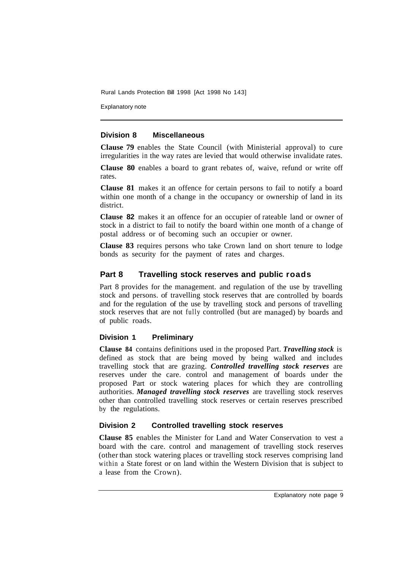Explanatory note

## **Division 8 Miscellaneous**

**Clause 79** enables the State Council (with Ministerial approval) to cure irregularities in the way rates are levied that would otherwise invalidate rates.

**Clause 80** enables a board to grant rebates of, waive, refund or write off rates.

**Clause 81** makes it an offence for certain persons to fail to notify a board within one month of a change in the occupancy or ownership of land in its district.

**Clause 82** makes it an offence for an occupier of rateable land or owner of stock in a district to fail to notify the board within one month of a change of postal address or of becoming such an occupier or owner.

**Clause 83** requires persons who take Crown land on short tenure to lodge bonds as security for the payment of rates and charges.

## **Part 8 Travelling stock reserves and public roads**

Part 8 provides for the management. and regulation of the use by travelling stock and persons. of travelling stock reserves that are controlled by boards and for the regulation of the use by travelling stock and persons of travelling stock reserves that are not fully controlled (but are managed) by boards and of public roads.

#### **Division 1 Preliminary**

**Clause 84** contains definitions used in the proposed Part. *Travelling stock* is defined as stock that are being moved by being walked and includes travelling stock that are grazing. *Controlled travelling stock reserves* are reserves under the care. control and management of boards under the proposed Part or stock watering places for which they are controlling authorities. *Managed travelling stock reserves* are travelling stock reserves other than controlled travelling stock reserves or certain reserves prescribed by the regulations.

## **Division 2 Controlled travelling stock reserves**

**Clause 85** enables the Minister for Land and Water Conservation to vest a board with the care. control and management of travelling stock reserves (other than stock watering places or travelling stock reserves comprising land within a State forest or on land within the Western Division that is subject to a lease from the Crown).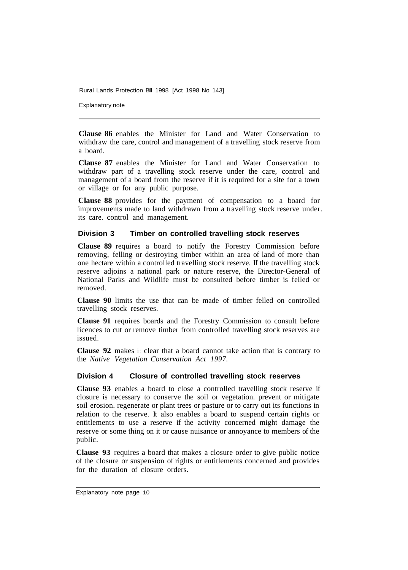Explanatory note

**Clause 86** enables the Minister for Land and Water Conservation to withdraw the care, control and management of a travelling stock reserve from a board.

**Clause 87** enables the Minister for Land and Water Conservation to withdraw part of a travelling stock reserve under the care, control and management of a board from the reserve if it is required for a site for a town or village or for any public purpose.

**Clause 88** provides for the payment of compensation to a board for improvements made to land withdrawn from a travelling stock reserve under. its care. control and management.

## **Division 3 Timber on controlled travelling stock reserves**

**Clause 89** requires a board to notify the Forestry Commission before removing, felling or destroying timber within an area of land of more than one hectare within a controlled travelling stock reserve. If the travelling stock reserve adjoins a national park or nature reserve, the Director-General of National Parks and Wildlife must be consulted before timber is felled or removed.

**Clause 90** limits the use that can be made of timber felled on controlled travelling stock reserves.

**Clause 91** requires boards and the Forestry Commission to consult before licences to cut or remove timber from controlled travelling stock reserves are issued.

**Clause 92** makes it clear that a board cannot take action that is contrary to the *Native Vegetation Conservation Act 1997.* 

## **Division 4 Closure of controlled travelling stock reserves**

**Clause 93** enables a board to close a controlled travelling stock reserve if closure is necessary to conserve the soil or vegetation. prevent or mitigate soil erosion. regenerate or plant trees or pasture or to carry out its functions in relation to the reserve. It also enables a board to suspend certain rights or entitlements to use a reserve if the activity concerned might damage the reserve or some thing on it or cause nuisance or annoyance to members of the public.

**Clause 93** requires a board that makes a closure order to give public notice of the closure or suspension of rights or entitlements concerned and provides for the duration of closure orders.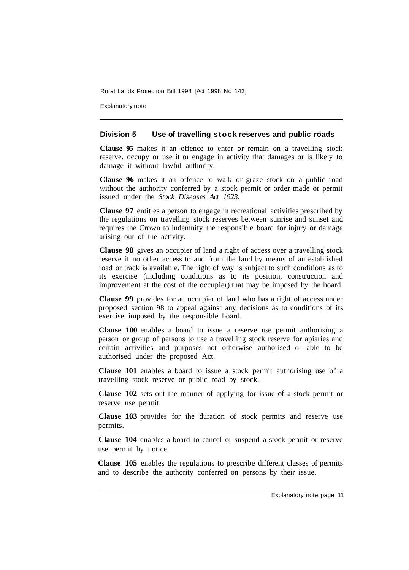Explanatory note

#### **Division 5 Use of travelling stock reserves and public roads**

**Clause 95** makes it an offence to enter or remain on a travelling stock reserve. occupy or use it or engage in activity that damages or is likely to damage it without lawful authority.

**Clause 96** makes it an offence to walk or graze stock on a public road without the authority conferred by a stock permit or order made or permit issued under the *Stock Diseases Act 1923.* 

**Clause 97** entitles a person to engage in recreational activities prescribed by the regulations on travelling stock reserves between sunrise and sunset and requires the Crown to indemnify the responsible board for injury or damage arising out of the activity.

**Clause 98** gives an occupier of land a right of access over a travelling stock reserve if no other access to and from the land by means of an established road or track is available. The right of way is subject to such conditions as to its exercise (including conditions as to its position, construction and improvement at the cost of the occupier) that may be imposed by the board.

**Clause 99** provides for an occupier of land who has a right of access under proposed section 98 to appeal against any decisions as to conditions of its exercise imposed by the responsible board.

**Clause 100** enables a board to issue a reserve use permit authorising a person or group of persons to use a travelling stock reserve for apiaries and certain activities and purposes not otherwise authorised or able to be authorised under the proposed Act.

**Clause 101** enables a board to issue a stock permit authorising use of a travelling stock reserve or public road by stock.

**Clause 102** sets out the manner of applying for issue of a stock permit or reserve use permit.

**Clause 103** provides for the duration of stock permits and reserve use permits.

**Clause 104** enables a board to cancel or suspend a stock permit or reserve use permit by notice.

**Clause 105** enables the regulations to prescribe different classes of permits and to describe the authority conferred on persons by their issue.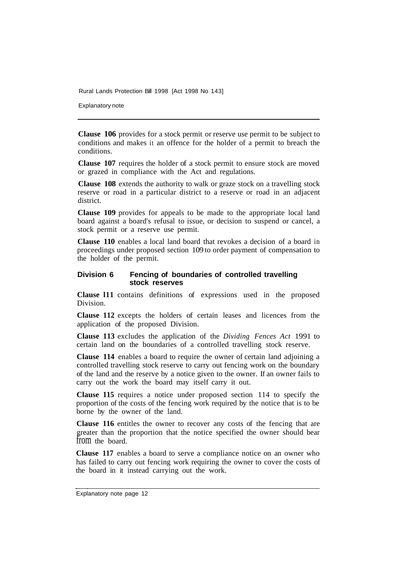Explanatory note

**Clause 106** provides for a stock permit or reserve use permit to be subject to conditions and makes it an offence for the holder of a permit to breach the conditions.

**Clause 107** requires the holder of a stock permit to ensure stock are moved or grazed in compliance with the Act and regulations.

**Clause 108** extends the authority to walk or graze stock on a travelling stock reserve or road in a particular district to a reserve or road in an adjacent district.

**Clause 109** provides for appeals to be made to the appropriate local land board against a board's refusal to issue, or decision to suspend or cancel, a stock permit or a reserve use permit.

**Clause 110** enables a local land board that revokes a decision of a board in proceedings under proposed section 109 to order payment of compensation to the holder of the permit.

#### **Division 6 Fencing of boundaries of controlled travelling stock reserves**

**Clause l11** contains definitions of expressions used in the proposed Division.

**Clause 112** excepts the holders of certain leases and licences from the application of the proposed Division.

**Clause 113** excludes the application of the *Dividing Fences Act* 1991 to certain land on the boundaries of a controlled travelling stock reserve.

**Clause 114** enables a board to require the owner of certain land adjoining a controlled travelling stock reserve to carry out fencing work on the boundary of the land and the reserve by a notice given to the owner. If an owner fails to carry out the work the board may itself carry it out.

**Clause 115** requires a notice under proposed section 114 to specify the proportion of the costs of the fencing work required by the notice that is to be borne by the owner of the land.

**Clause 116** entitles the owner to recover any costs of the fencing that are greater than the proportion that the notice specified the owner should bear from the board.

**Clause 117** enables a board to serve a compliance notice on an owner who has failed to carry out fencing work requiring the owner to cover the costs of the board in it instead carrying out the work.

Explanatory note page 12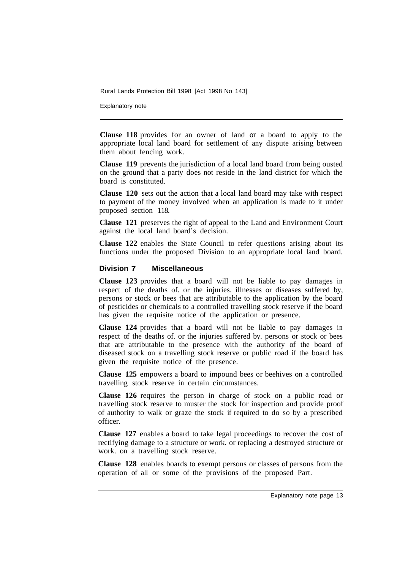Explanatory note

**Clause 118** provides for an owner of land or a board to apply to the appropriate local land board for settlement of any dispute arising between them about fencing work.

**Clause 119** prevents the jurisdiction of a local land board from being ousted on the ground that a party does not reside in the land district for which the board is constituted.

**Clause 120** sets out the action that a local land board may take with respect to payment of the money involved when an application is made to it under proposed section 118.

**Clause 121** preserves the right of appeal to the Land and Environment Court against the local land board's decision.

**Clause 122** enables the State Council to refer questions arising about its functions under the proposed Division to an appropriate local land board.

#### **Division 7 Miscellaneous**

**Clause 123** provides that a board will not be liable to pay damages in respect of the deaths of. or the injuries. illnesses or diseases suffered by, persons or stock or bees that are attributable to the application by the board of pesticides or chemicals to a controlled travelling stock reserve if the board has given the requisite notice of the application or presence.

**Clause 124** provides that a board will not be liable to pay damages in respect of the deaths of. or the injuries suffered by. persons or stock or bees that are attributable to the presence with the authority of the board of diseased stock on a travelling stock reserve or public road if the board has given the requisite notice of the presence.

**Clause 125** empowers a board to impound bees or beehives on a controlled travelling stock reserve in certain circumstances.

**Clause 126** requires the person in charge of stock on a public road or travelling stock reserve to muster the stock for inspection and provide proof of authority to walk or graze the stock if required to do so by a prescribed officer.

**Clause 127** enables a board to take legal proceedings to recover the cost of rectifying damage to a structure or work. or replacing a destroyed structure or work. on a travelling stock reserve.

**Clause 128** enables boards to exempt persons or classes of persons from the operation of all or some of the provisions of the proposed Part.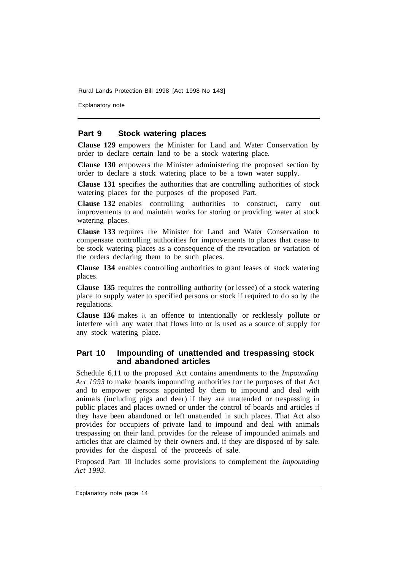Explanatory note

## **Part 9 Stock watering places**

**Clause 129** empowers the Minister for Land and Water Conservation by order to declare certain land to be a stock watering place.

**Clause 130** empowers the Minister administering the proposed section by order to declare a stock watering place to be a town water supply.

**Clause 131** specifies the authorities that are controlling authorities of stock watering places for the purposes of the proposed Part.

**Clause 132** enables controlling authorities to construct, carry out improvements to and maintain works for storing or providing water at stock watering places.

**Clause 133** requires the Minister for Land and Water Conservation to compensate controlling authorities for improvements to places that cease to be stock watering places as a consequence of the revocation or variation of the orders declaring them to be such places.

**Clause 134** enables controlling authorities to grant leases of stock watering places.

**Clause 135** requires the controlling authority (or lessee) of a stock watering place to supply water to specified persons or stock if required to do so by the regulations.

**Clause 136** makes it an offence to intentionally or recklessly pollute or interfere with any water that flows into or is used as a source of supply for any stock watering place.

#### **Part 10 Impounding of unattended and trespassing stock and abandoned articles**

Schedule 6.11 to the proposed Act contains amendments to the *Impounding Act 1993* to make boards impounding authorities for the purposes of that Act and to empower persons appointed by them to impound and deal with animals (including pigs and deer) if they are unattended or trespassing in public places and places owned or under the control of boards and articles if they have been abandoned or left unattended in such places. That Act also provides for occupiers of private land to impound and deal with animals trespassing on their land. provides for the release of impounded animals and articles that are claimed by their owners and. if they are disposed of by sale. provides for the disposal of the proceeds of sale.

Proposed Part 10 includes some provisions to complement the *Impounding Act 1993.* 

Explanatory note page 14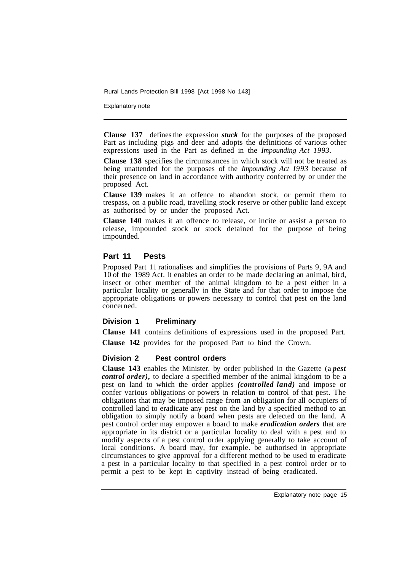Explanatory note

**Clause 137**  defines the expression *stuck* for the purposes of the proposed Part as including pigs and deer and adopts the definitions of various other expressions used in the Part as defined in the *Impounding Act 1993.* 

**Clause 138** specifies the circumstances in which stock will not be treated as being unattended for the purposes of the *Impounding Act I993* because of their presence on land in accordance with authority conferred by or under the proposed Act.

**Clause 139** makes it an offence to abandon stock. or permit them to trespass, on a public road, travelling stock reserve or other public land except as authorised by or under the proposed Act.

**Clause 140** makes it an offence to release, or incite or assist a person to release, impounded stock or stock detained for the purpose of being impounded.

## **Part 11 Pests**

Proposed Part 11 rationalises and simplifies the provisions of Parts 9, 9A and 10 of the 1989 Act. It enables an order to be made declaring an animal, bird, insect or other member of the animal kingdom to be a pest either in a particular locality or generally in the State and for that order to impose the appropriate obligations or powers necessary to control that pest on the land concerned.

#### **Division 1 Preliminary**

**Clause 141** contains definitions of expressions used in the proposed Part. **Clause 142** provides for the proposed Part to bind the Crown.

## **Division 2 Pest control orders**

**Clause 143** enables the Minister. by order published in the Gazette (a *pest control order),* to declare a specified member of the animal kingdom to be a pest on land to which the order applies *(controlled land)* and impose or confer various obligations or powers in relation to control of that pest. The obligations that may be imposed range from an obligation for all occupiers of controlled land to eradicate any pest on the land by a specified method to an obligation to simply notify a board when pests are detected on the land. A pest control order may empower a board to make *eradication orders* that are appropriate in its district or a particular locality to deal with a pest and to modify aspects of a pest control order applying generally to take account of local conditions. A board may, for example. be authorised in appropriate circumstances to give approval for a different method to be used to eradicate a pest in a particular locality to that specified in a pest control order or to permit a pest to be kept in captivity instead of being eradicated.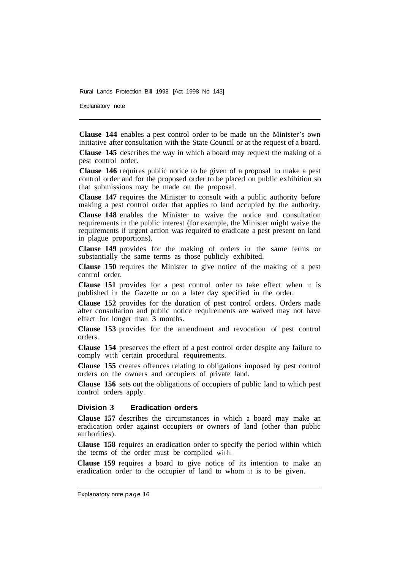Explanatory note

**Clause 144** enables a pest control order to be made on the Minister's own initiative after consultation with the State Council or at the request of a board.

**Clause 145** describes the way in which a board may request the making of a pest control order.

**Clause 146** requires public notice to be given of a proposal to make a pest control order and for the proposed order to be placed on public exhibition so that submissions may be made on the proposal.

**Clause 147** requires the Minister to consult with a public authority before making a pest control order that applies to land occupied by the authority.

**Clause 148** enables the Minister to waive the notice and consultation requirements in the public interest (for example, the Minister might waive the requirements if urgent action was required to eradicate a pest present on land in plague proportions).

**Clause 149** provides for the making of orders in the same terms or substantially the same terms as those publicly exhibited.

**Clause 150** requires the Minister to give notice of the making of a pest control order.

**Clause 151** provides for a pest control order to take effect when it is published in the Gazette or on a later day specified in the order.

**Clause 152** provides for the duration of pest control orders. Orders made after consultation and public notice requirements are waived may not have effect for longer than 3 months.

**Clause 153** provides for the amendment and revocation of pest control orders.

**Clause 154** preserves the effect of a pest control order despite any failure to comply with certain procedural requirements.

**Clause 155** creates offences relating to obligations imposed by pest control orders on the owners and occupiers of private land.

**Clause 156** sets out the obligations of occupiers of public land to which pest control orders apply.

#### **Division 3 Eradication orders**

**Clause 157** describes the circumstances in which a board may make an eradication order against occupiers or owners of land (other than public authorities).

**Clause 158** requires an eradication order to specify the period within which the terms of the order must be complied with.

**Clause 159** requires a board to give notice of its intention to make an eradication order to the occupier of land to whom it is to be given.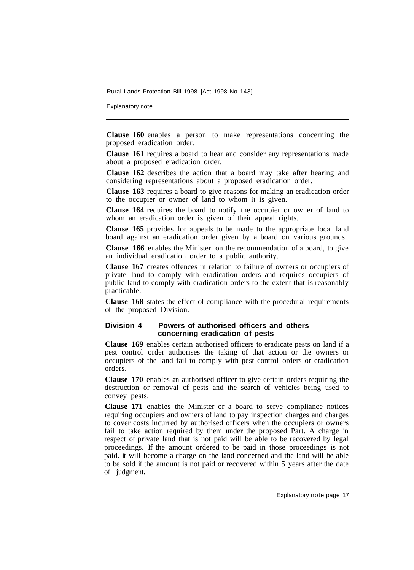Explanatory note

**Clause 160** enables a person to make representations concerning the proposed eradication order.

**Clause 161** requires a board to hear and consider any representations made about a proposed eradication order.

**Clause 162** describes the action that a board may take after hearing and considering representations about a proposed eradication order.

**Clause 163** requires a board to give reasons for making an eradication order to the occupier or owner of land to whom it is given.

**Clause 164** requires the board to notify the occupier or owner of land to whom an eradication order is given of their appeal rights.

**Clause 165** provides for appeals to be made to the appropriate local land board against an eradication order given by a board on various grounds.

**Clause 166** enables the Minister. on the recommendation of a board, to give an individual eradication order to a public authority.

**Clause 167** creates offences in relation to failure of owners or occupiers of private land to comply with eradication orders and requires occupiers of public land to comply with eradication orders to the extent that is reasonably practicable.

**Clause 168** states the effect of compliance with the procedural requirements of the proposed Division.

#### **Division 4 Powers of authorised officers and others concerning eradication of pests**

**Clause 169** enables certain authorised officers to eradicate pests on land if a pest control order authorises the taking of that action or the owners or occupiers of the land fail to comply with pest control orders or eradication orders.

**Clause 170** enables an authorised officer to give certain orders requiring the destruction or removal of pests and the search of vehicles being used to convey pests.

**Clause 171** enables the Minister or a board to serve compliance notices requiring occupiers and owners of land to pay inspection charges and charges to cover costs incurred by authorised officers when the occupiers or owners fail to take action required by them under the proposed Part. A charge in respect of private land that is not paid will be able to be recovered by legal proceedings. If the amount ordered to be paid in those proceedings is not paid. it will become a charge on the land concerned and the land will be able to be sold if the amount is not paid or recovered within 5 years after the date of judgment.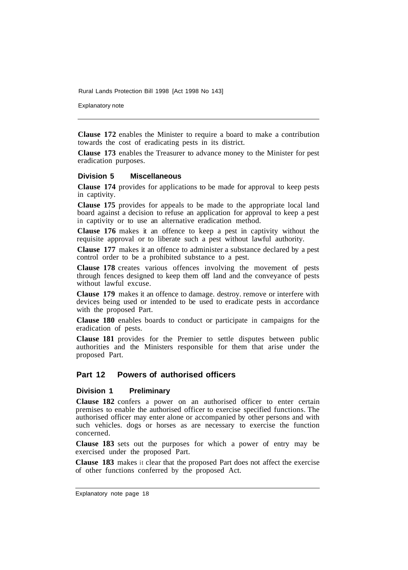Explanatory note

**Clause 172** enables the Minister to require a board to make a contribution towards the cost of eradicating pests in its district.

**Clause 173** enables the Treasurer to advance money to the Minister for pest eradication purposes.

#### **Division 5 Miscellaneous**

**Clause 174** provides for applications to be made for approval to keep pests in captivity.

**Clause 175** provides for appeals to be made to the appropriate local land board against a decision to refuse an application for approval to keep a pest in captivity or to use an alternative eradication method.

**Clause 176** makes it an offence to keep a pest in captivity without the requisite approval or to liberate such a pest without lawful authority.

**Clause 177** makes it an offence to administer a substance declared by a pest control order to be a prohibited substance to a pest.

**Clause 178** creates various offences involving the movement of pests through fences designed to keep them off land and the conveyance of pests without lawful excuse.

**Clause 179** makes it an offence to damage. destroy. remove or interfere with devices being used or intended to be used to eradicate pests in accordance with the proposed Part.

**Clause 180** enables boards to conduct or participate in campaigns for the eradication of pests.

**Clause 181** provides for the Premier to settle disputes between public authorities and the Ministers responsible for them that arise under the proposed Part.

## **Part 12 Powers of authorised officers**

#### **Division 1 Preliminary**

**Clause 182** confers a power on an authorised officer to enter certain premises to enable the authorised officer to exercise specified functions. The authorised officer may enter alone or accompanied by other persons and with such vehicles. dogs or horses as are necessary to exercise the function concerned.

**Clause 183** sets out the purposes for which a power of entry may be exercised under the proposed Part.

**Clause 183** makes it clear that the proposed Part does not affect the exercise of other functions conferred by the proposed Act.

Explanatory note page 18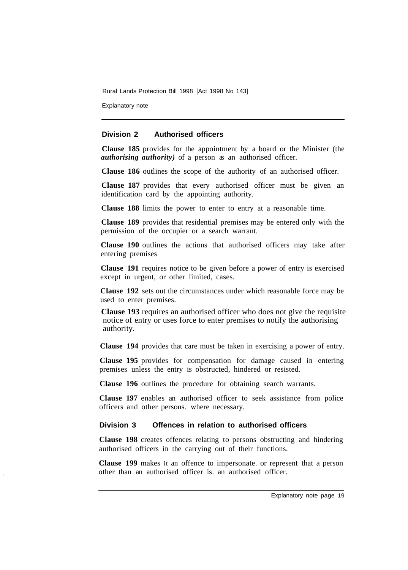Explanatory note

## **Division 2 Authorised officers**

**Clause 185** provides for the appointment by a board or the Minister (the *authorising authority*) of a person as an authorised officer.

**Clause 186** outlines the scope of the authority of an authorised officer.

**Clause 187** provides that every authorised officer must be given an identification card by the appointing authority.

**Clause 188** limits the power to enter to entry at a reasonable time.

**Clause 189** provides that residential premises may be entered only with the permission of the occupier or a search warrant.

**Clause 190** outlines the actions that authorised officers may take after entering premises

**Clause 191** requires notice to be given before a power of entry is exercised except in urgent, or other limited, cases.

**Clause 192** sets out the circumstances under which reasonable force may be used to enter premises.

**Clause 193** requires an authorised officer who does not give the requisite notice of entry or uses force to enter premises to notify the authorising authority.

**Clause 194** provides that care must be taken in exercising a power of entry.

**Clause 195** provides for compensation for damage caused in entering premises unless the entry is obstructed, hindered or resisted.

**Clause 196** outlines the procedure for obtaining search warrants.

**Clause 197** enables an authorised officer to seek assistance from police officers and other persons. where necessary.

## **Division 3 Offences in relation to authorised officers**

**Clause 198** creates offences relating to persons obstructing and hindering authorised officers in the carrying out of their functions.

**Clause 199** makes it an offence to impersonate. or represent that a person other than an authorised officer is. an authorised officer.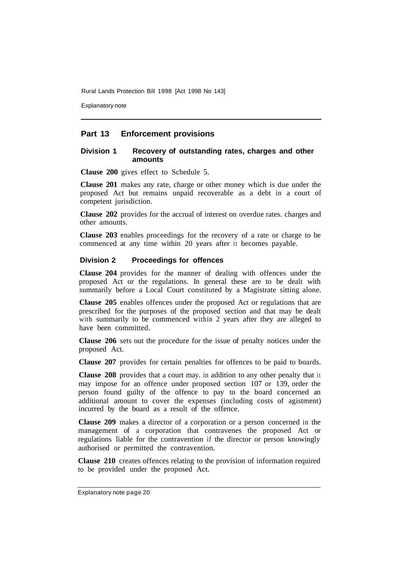Explanatory note

## **Part 13 Enforcement provisions**

#### **Division 1 Recovery of outstanding rates, charges and other amounts**

**Clause 200** gives effect to Schedule 5.

**Clause 201** makes any rate, charge or other money which is due under the proposed Act but remains unpaid recoverable as a debt in a court of competent jurisdiction.

**Clause 202** provides for the accrual of interest on overdue rates. charges and other amounts.

**Clause 203** enables proceedings for the recovery of a rate or charge to be commenced at any time within 20 years after it becomes payable.

#### **Division 2 Proceedings for offences**

**Clause 204** provides for the manner of dealing with offences under the proposed Act or the regulations. In general these are to be dealt with summarily before a Local Court constituted by a Magistrate sitting alone.

**Clause 205** enables offences under the proposed Act or regulations that are prescribed for the purposes of the proposed section and that may be dealt with summarily to be commenced within 2 years after they are alleged to have been committed.

**Clause 206** sets out the procedure for the issue of penalty notices under the proposed Act.

**Clause 207** provides for certain penalties for offences to be paid to boards.

**Clause 208** provides that a court may. in addition to any other penalty that it may impose for an offence under proposed section 107 or 139, order the person found guilty of the offence to pay to the board concerned an additional amount to cover the expenses (including costs of agistment) incurred by the board as a result of the offence.

**Clause 209** makes a director of a corporation or a person concerned in the management of a corporation that contravenes the proposed Act or regulations liable for the contravention if the director or person knowingly authorised or permitted the contravention.

**Clause 210** creates offences relating to the provision of information required to be provided under the proposed Act.

Explanatory note page 20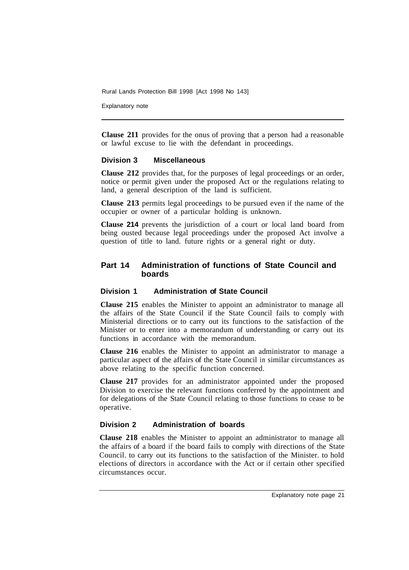Explanatory note

**Clause 211** provides for the onus of proving that a person had a reasonable or lawful excuse to lie with the defendant in proceedings.

#### **Division 3 Miscellaneous**

**Clause 212** provides that, for the purposes of legal proceedings or an order, notice or permit given under the proposed Act or the regulations relating to land, a general description of the land is sufficient.

**Clause 213** permits legal proceedings to be pursued even if the name of the occupier or owner of a particular holding is unknown.

**Clause 214** prevents the jurisdiction of a court or local land board from being ousted because legal proceedings under the proposed Act involve a question of title to land. future rights or a general right or duty.

## **Part 14 Administration of functions of State Council and boards**

#### **Division 1 Administration of State Council**

**Clause 215** enables the Minister to appoint an administrator to manage all the affairs of the State Council if the State Council fails to comply with Ministerial directions or to carry out its functions to the satisfaction of the Minister or to enter into a memorandum of understanding or carry out its functions in accordance with the memorandum.

**Clause 216** enables the Minister to appoint an administrator to manage a particular aspect of the affairs of the State Council in similar circumstances as above relating to the specific function concerned.

**Clause 217** provides for an administrator appointed under the proposed Division to exercise the relevant functions conferred by the appointment and for delegations of the State Council relating to those functions to cease to be operative.

## **Division 2 Administration of boards**

**Clause 218** enables the Minister to appoint an administrator to manage all the affairs of a board if the board fails to comply with directions of the State Council. to carry out its functions to the satisfaction of the Minister. to hold elections of directors in accordance with the Act or if certain other specified circumstances occur.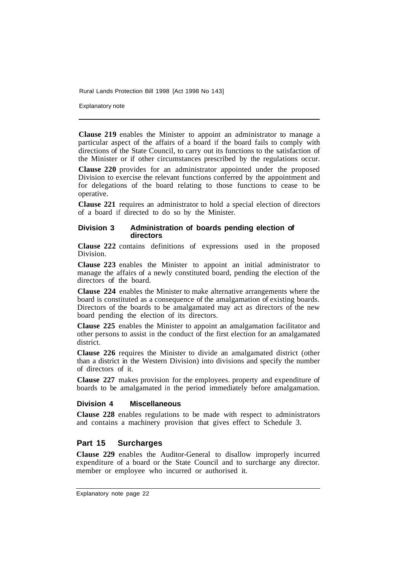Explanatory note

**Clause 219** enables the Minister to appoint an administrator to manage a particular aspect of the affairs of a board if the board fails to comply with directions of the State Council, to carry out its functions to the satisfaction of the Minister or if other circumstances prescribed by the regulations occur.

**Clause 220** provides for an administrator appointed under the proposed Division to exercise the relevant functions conferred by the appointment and for delegations of the board relating to those functions to cease to be operative.

**Clause 221** requires an administrator to hold a special election of directors of a board if directed to do so by the Minister.

#### **Division 3 Administration of boards pending election of directors**

**Clause 222** contains definitions of expressions used in the proposed Division.

**Clause 223** enables the Minister to appoint an initial administrator to manage the affairs of a newly constituted board, pending the election of the directors of the board.

**Clause 224** enables the Minister to make alternative arrangements where the board is constituted as a consequence of the amalgamation of existing boards. Directors of the boards to be amalgamated may act as directors of the new board pending the election of its directors.

**Clause 225** enables the Minister to appoint an amalgamation facilitator and other persons to assist in the conduct of the first election for an amalgamated district.

**Clause 226** requires the Minister to divide an amalgamated district (other than a district in the Western Division) into divisions and specify the number of directors of it.

**Clause 227** makes provision for the employees. property and expenditure of boards to be amalgamated in the period immediately before amalgamation.

#### **Division 4 Miscellaneous**

**Clause 228** enables regulations to be made with respect to administrators and contains a machinery provision that gives effect to Schedule 3.

## **Part 15 Surcharges**

**Clause 229** enables the Auditor-General to disallow improperly incurred expenditure of a board or the State Council and to surcharge any director. member or employee who incurred or authorised it.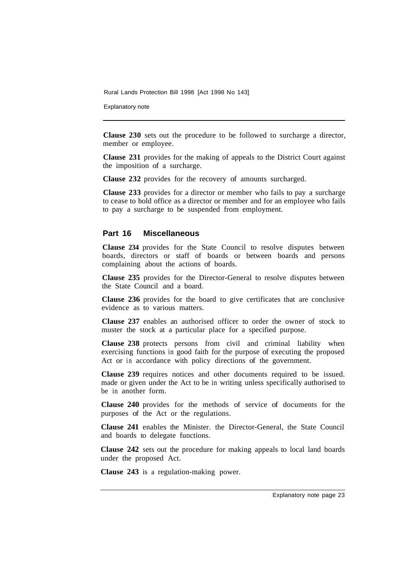Explanatory note

**Clause 230** sets out the procedure to be followed to surcharge a director, member or employee.

**Clause 231** provides for the making of appeals to the District Court against the imposition of a surcharge.

**Clause 232** provides for the recovery of amounts surcharged.

**Clause 233** provides for a director or member who fails to pay a surcharge to cease to hold office as a director or member and for an employee who fails to pay a surcharge to be suspended from employment.

## **Part 16 Miscellaneous**

**Clause 234** provides for the State Council to resolve disputes between boards, directors or staff of boards or between boards and persons complaining about the actions of boards.

**Clause 235** provides for the Director-General to resolve disputes between the State Council and a board.

**Clause 236** provides for the board to give certificates that are conclusive evidence as to various matters.

**Clause 237** enables an authorised officer to order the owner of stock to muster the stock at a particular place for a specified purpose.

**Clause 238** protects persons from civil and criminal liability when exercising functions in good faith for the purpose of executing the proposed Act or in accordance with policy directions of the government.

**Clause 239** requires notices and other documents required to be issued. made or given under the Act to be in writing unless specifically authorised to be in another form.

**Clause 240** provides for the methods of service of documents for the purposes of the Act or the regulations.

**Clause 241** enables the Minister. the Director-General, the State Council and boards to delegate functions.

**Clause 242** sets out the procedure for making appeals to local land boards under the proposed Act.

**Clause 243** is a regulation-making power.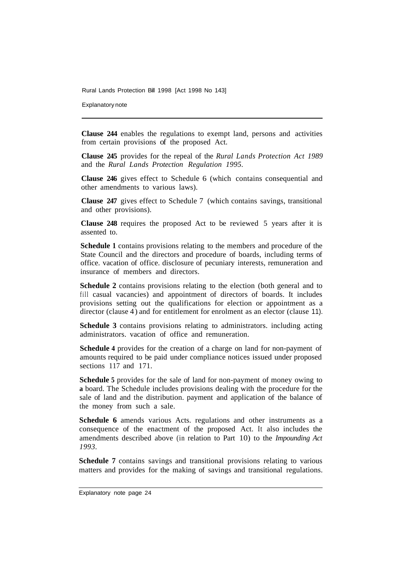Explanatory note

**Clause 244** enables the regulations to exempt land, persons and activities from certain provisions of the proposed Act.

**Clause 245** provides for the repeal of the *Rural Lands Protection Act 1989*  and the *Rural Lands Protection Regulation 1995.* 

**Clause 246** gives effect to Schedule 6 (which contains consequential and other amendments to various laws).

**Clause 247** gives effect to Schedule 7 (which contains savings, transitional and other provisions).

**Clause 248** requires the proposed Act to be reviewed 5 years after it is assented to.

**Schedule 1** contains provisions relating to the members and procedure of the State Council and the directors and procedure of boards, including terms of office. vacation of office. disclosure of pecuniary interests, remuneration and insurance of members and directors.

**Schedule 2** contains provisions relating to the election (both general and to fill casual vacancies) and appointment of directors of boards. It includes provisions setting out the qualifications for election or appointment as a director (clause 4) and for entitlement for enrolment as an elector (clause 11).

**Schedule 3** contains provisions relating to administrators. including acting administrators. vacation of office and remuneration.

**Schedule 4** provides for the creation of a charge on land for non-payment of amounts required to be paid under compliance notices issued under proposed sections 117 and 171.

**Schedule 5** provides for the sale of land for non-payment of money owing to **a** board. The Schedule includes provisions dealing with the procedure for the sale of land and the distribution. payment and application of the balance of the money from such a sale.

**Schedule 6** amends various Acts. regulations and other instruments as a consequence of the enactment of the proposed Act. It also includes the amendments described above (in relation to Part 10) to the *Impounding Act 1993.* 

**Schedule 7** contains savings and transitional provisions relating to various matters and provides for the making of savings and transitional regulations.